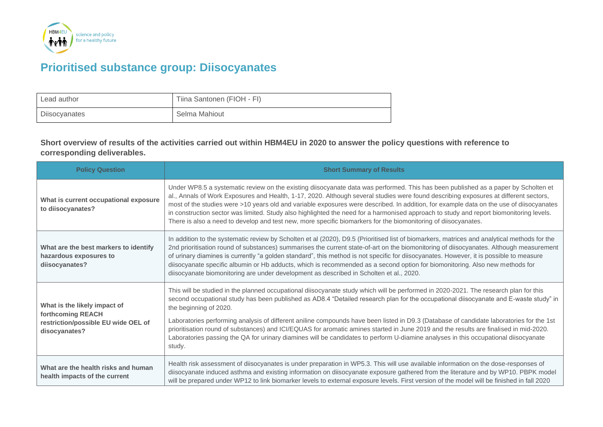

## **Prioritised substance group: Diisocyanates**

| Lead author   | Tiina Santonen (FIOH - FI) |
|---------------|----------------------------|
| Diisocyanates | Selma Mahiout              |

**Short overview of results of the activities carried out within HBM4EU in 2020 to answer the policy questions with reference to corresponding deliverables.**

| <b>Policy Question</b>                                                                                    | <b>Short Summary of Results</b>                                                                                                                                                                                                                                                                                                                                                                                                                                                                                                                                                                                                                                                                                                               |
|-----------------------------------------------------------------------------------------------------------|-----------------------------------------------------------------------------------------------------------------------------------------------------------------------------------------------------------------------------------------------------------------------------------------------------------------------------------------------------------------------------------------------------------------------------------------------------------------------------------------------------------------------------------------------------------------------------------------------------------------------------------------------------------------------------------------------------------------------------------------------|
| What is current occupational exposure<br>to diisocyanates?                                                | Under WP8.5 a systematic review on the existing diisocyanate data was performed. This has been published as a paper by Scholten et<br>al., Annals of Work Exposures and Health, 1-17, 2020. Although several studies were found describing exposures at different sectors,<br>most of the studies were >10 years old and variable exposures were described. In addition, for example data on the use of diisocyanates<br>in construction sector was limited. Study also highlighted the need for a harmonised approach to study and report biomonitoring levels.<br>There is also a need to develop and test new, more specific biomarkers for the biomonitoring of diisocyanates.                                                            |
| What are the best markers to identify<br>hazardous exposures to<br>diisocyanates?                         | In addition to the systematic review by Scholten et al (2020), D9.5 (Prioritised list of biomarkers, matrices and analytical methods for the<br>2nd prioritisation round of substances) summarises the current state-of-art on the biomonitoring of diisocyanates. Although measurement<br>of urinary diamines is currently "a golden standard", this method is not specific for diisocyanates. However, it is possible to measure<br>diisocyanate specific albumin or Hb adducts, which is recommended as a second option for biomonitoring. Also new methods for<br>diisocyanate biomonitoring are under development as described in Scholten et al., 2020.                                                                                 |
| What is the likely impact of<br>forthcoming REACH<br>restriction/possible EU wide OEL of<br>disocyanates? | This will be studied in the planned occupational diisocyanate study which will be performed in 2020-2021. The research plan for this<br>second occupational study has been published as AD8.4 "Detailed research plan for the occupational diisocyanate and E-waste study" in<br>the beginning of 2020.<br>Laboratories performing analysis of different aniline compounds have been listed in D9.3 (Database of candidate laboratories for the 1st<br>prioritisation round of substances) and ICI/EQUAS for aromatic amines started in June 2019 and the results are finalised in mid-2020.<br>Laboratories passing the QA for urinary diamines will be candidates to perform U-diamine analyses in this occupational diisocyanate<br>study. |
| What are the health risks and human<br>health impacts of the current                                      | Health risk assessment of diisocyanates is under preparation in WP5.3. This will use available information on the dose-responses of<br>diisocyanate induced asthma and existing information on diisocyanate exposure gathered from the literature and by WP10. PBPK model<br>will be prepared under WP12 to link biomarker levels to external exposure levels. First version of the model will be finished in fall 2020                                                                                                                                                                                                                                                                                                                       |